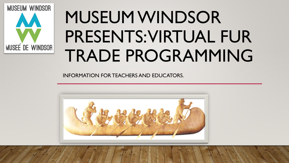

# MUSEUM WINDSOR PRESENTS: VIRTUAL FUR TRADE PROGRAMMING

INFORMATION FOR TEACHERS AND EDUCATORS.

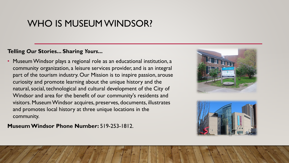## WHO IS MUSEUM WINDSOR?

### **Telling** *Our* **Stories... Sharing** *Yours***...**

• Museum Windsor plays a regional role as an educational institution, a community organization, a leisure services provider, and is an integral part of the tourism industry. Our Mission is to inspire passion, arouse curiosity and promote learning about the unique history and the natural, social, technological and cultural development of the City of Windsor and area for the benefit of our community's residents and visitors. Museum Windsor acquires, preserves, documents, illustrates and promotes local history at three unique locations in the community.

**Museum Windsor Phone Number:** 519-253-1812.



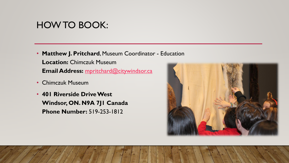### HOW TO BOOK:

- **Matthew J. Pritchard**, Museum Coordinator Education **Location:** Chimczuk Museum **Email Address:** [mpritchard@citywindsor.ca](mailto:mpritchard@citywindsor.ca%E2%80%8B)
- Chimczuk Museum
- **401 Riverside Drive West Windsor, ON. N9A 7J1 Canada Phone Number:** 519-253-1812

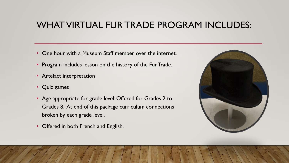## WHAT VIRTUAL FUR TRADE PROGRAM INCLUDES:

- One hour with a Museum Staff member over the internet.
- Program includes lesson on the history of the Fur Trade.
- Artefact interpretation
- Quiz games
- Age appropriate for grade level: Offered for Grades 2 to Grades 8. At end of this package curriculum connections broken by each grade level.
- Offered in both French and English.

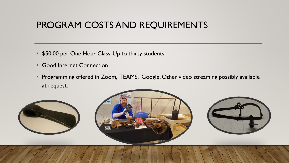## PROGRAM COSTS AND REQUIREMENTS

- \$50.00 per One Hour Class. Up to thirty students.
- Good Internet Connection
- Programming offered in Zoom, TEAMS, Google. Other video streaming possibly available at request.





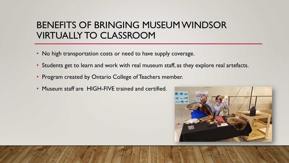## BENEFITS OF BRINGING MUSEUM WINDSOR VIRTUALLY TO CLASSROOM

- No high transportation costs or need to have supply coverage.
- Students get to learn and work with real museum staff, as they explore real artefacts.
- Program created by Ontario College of Teachers member.
- Museum staff are HIGH-FIVE trained and certified.

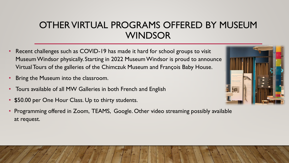## OTHER VIRTUAL PROGRAMS OFFERED BY MUSEUM WINDSOR

- Recent challenges such as COVID-19 has made it hard for school groups to visit Museum Windsor physically. Starting in 2022 Museum Windsor is proud to announce Virtual Tours of the galleries of the Chimczuk Museum and François Baby House.
- Bring the Museum into the classroom.
- Tours available of all MW Galleries in both French and English
- \$50.00 per One Hour Class. Up to thirty students.
- Programming offered in Zoom, TEAMS, Google. Other video streaming possibly available at request.

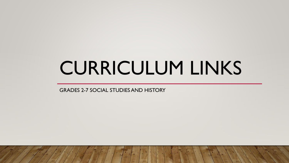## CURRICULUM LINKS

GRADES 2-7 SOCIAL STUDIES AND HISTORY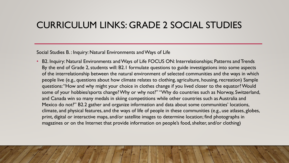## CURRICULUM LINKS: GRADE 2 SOCIAL STUDIES

#### Social Studies B. : Inquiry: Natural Environments and Ways of Life

• B2. Inquiry: Natural Environments and Ways of Life FOCUS ON: Interrelationships; Patterns and Trends By the end of Grade 2, students will: B2.1 formulate questions to guide investigations into some aspects of the interrelationship between the natural environment of selected communities and the ways in which people live (e.g., questions about how climate relates to clothing, agriculture, housing, recreation) Sample questions: "How and why might your choice in clothes change if you lived closer to the equator? Would some of your hobbies/sports change? Why or why not?" "Why do countries such as Norway, Switzerland, and Canada win so many medals in skiing competitions while other countries such as Australia and Mexico do not?" B2.2 gather and organize information and data about some communities' locations, climate, and physical features, and the ways of life of people in these communities (e.g., use atlases, globes, print, digital or interactive maps, and/or satellite images to determine location; find photographs in magazines or on the Internet that provide information on people's food, shelter, and/or clothing)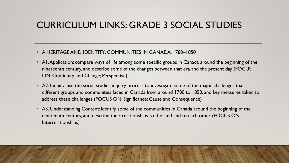## CURRICULUM LINKS: GRADE 3 SOCIAL STUDIES

- A.HERITAGE AND IDENTITY: COMMUNITIES IN CANADA, 1780–1850
- A1. Application: compare ways of life among some specific groups in Canada around the beginning of the nineteenth century, and describe some of the changes between that era and the present day (FOCUS ON: Continuity and Change; Perspective)
- A2. Inquiry: use the social studies inquiry process to investigate some of the major challenges that different groups and communities faced in Canada from around 1780 to 1850, and key measures taken to address these challenges (FOCUS ON: Significance; Cause and Consequence)
- A3. Understanding Context: identify some of the communities in Canada around the beginning of the nineteenth century, and describe their relationships to the land and to each other (FOCUS ON: Interrelationships)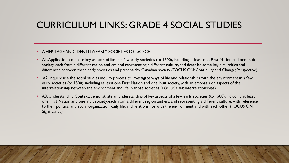## CURRICULUM LINKS: GRADE 4 SOCIAL STUDIES

#### • A.HERITAGE AND IDENTITY: EARLY SOCIETIES TO 1500 CE

- AI. Application: compare key aspects of life in a few early societies (to 1500), including at least one First Nation and one Inuit society, each from a different region and era and representing a different culture, and describe some key similarities and differences between these early societies and present-day Canadian society (FOCUS ON: Continuity and Change; Perspective)
- A2. Inquiry: use the social studies inquiry process to investigate ways of life and relationships with the environment in a few early societies (to 1500), including at least one First Nation and one Inuit society, with an emphasis on aspects of the interrelationship between the environment and life in those societies (FOCUS ON: Interrelationships)
- A3. Understanding Context: demonstrate an understanding of key aspects of a few early societies (to 1500), including at least one First Nation and one Inuit society, each from a different region and era and representing a different culture, with reference to their political and social organization, daily life, and relationships with the environment and with each other (FOCUS ON: Significance)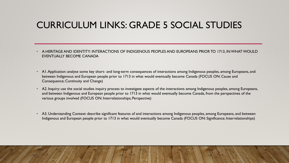## CURRICULUM LINKS: GRADE 5 SOCIAL STUDIES

- A.HERITAGE AND IDENTITY: INTERACTIONS OF INDIGENOUS PEOPLES AND EUROPEANS PRIOR TO 1713, IN WHAT WOULD EVENTUALLY BECOME CANADA
- A1. Application: analyse some key short- and long-term consequences of interactions among Indigenous peoples, among Europeans, and between Indigenous and European people prior to 1713 in what would eventually become Canada (FOCUS ON: Cause and Consequence; Continuity and Change)
- A2. Inquiry: use the social studies inquiry process to investigate aspects of the interactions among Indigenous peoples, among Europeans, and between Indigenous and European people prior to 1713 in what would eventually become Canada, from the perspectives of the various groups involved (FOCUS ON: Interrelationships; Perspective)
- A3. Understanding Context: describe significant features of and interactions among Indigenous peoples, among Europeans, and between Indigenous and European people prior to 1713 in what would eventually become Canada (FOCUS ON: Significance; Interrelationships)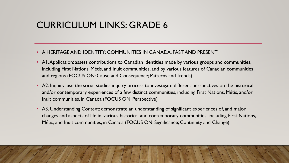## CURRICULUM LINKS: GRADE 6

- A.HERITAGE AND IDENTITY: COMMUNITIES IN CANADA, PAST AND PRESENT
- A1. Application: assess contributions to Canadian identities made by various groups and communities, including First Nations, Métis, and Inuit communities, and by various features of Canadian communities and regions (FOCUS ON: Cause and Consequence; Patterns and Trends)
- A2. Inquiry: use the social studies inquiry process to investigate different perspectives on the historical and/or contemporary experiences of a few distinct communities, including First Nations, Métis, and/or Inuit communities, in Canada (FOCUS ON: Perspective)
- A3. Understanding Context: demonstrate an understanding of significant experiences of, and major changes and aspects of life in, various historical and contemporary communities, including First Nations, Métis, and Inuit communities, in Canada (FOCUS ON: Significance; Continuity and Change)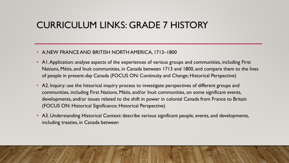## CURRICULUM LINKS: GRADE 7 HISTORY

#### • A.NEW FRANCE AND BRITISH NORTH AMERICA, 1713–1800

- A1. Application: analyse aspects of the experiences of various groups and communities, including First Nations, Métis, and Inuit communities, in Canada between 1713 and 1800, and compare them to the lives of people in present-day Canada (FOCUS ON: Continuity and Change; Historical Perspective)
- A2. Inquiry: use the historical inquiry process to investigate perspectives of different groups and communities, including First Nations, Métis, and/or Inuit communities, on some significant events, developments, and/or issues related to the shift in power in colonial Canada from France to Britain (FOCUS ON: Historical Significance; Historical Perspective)
- A3. Understanding Historical Context: describe various significant people, events, and developments, including treaties, in Canada between